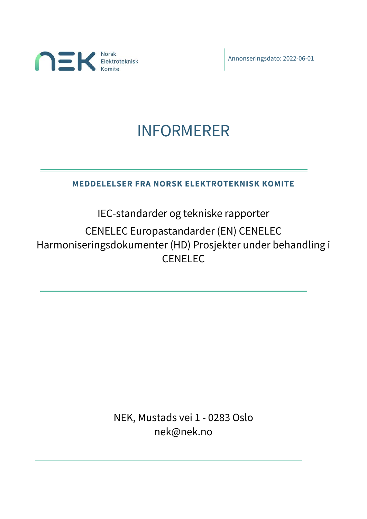

Annonseringsdato: 2022-06-01

# INFORMERER

# **MEDDELELSER FRA NORSK ELEKTROTEKNISK KOMITE**

IEC-standarder og tekniske rapporter

CENELEC Europastandarder (EN) CENELEC Harmoniseringsdokumenter (HD) Prosjekter under behandling i **CENELEC** 

> NEK, Mustads vei 1 - 0283 Oslo nek@nek.no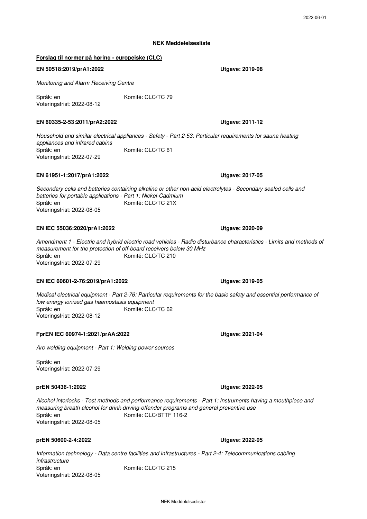2022-06-01

#### **NEK Meddelelsesliste**

#### **Forslag til normer på høring - europeiske (CLC)**

#### **EN 50518:2019/prA1:2022**

*Monitoring and Alarm Receiving Centre*

Språk: en Komité: CLC/TC 79 Voteringsfrist: 2022-08-12

#### **EN 60335-2-53:2011/prA2:2022**

Språk: en *Household and similar electrical appliances - Safety - Part 2-53: Particular requirements for sauna heating appliances and infrared cabins* Komité: CLC/TC 61 Voteringsfrist: 2022-07-29

#### **EN 61951-1:2017/prA1:2022**

Språk: en Voteringsfrist: 2022-08-05 *Secondary cells and batteries containing alkaline or other non-acid electrolytes - Secondary sealed cells and batteries for portable applications - Part 1: Nickel-Cadmium* Komité: CLC/TC 21X

#### **EN IEC 55036:2020/prA1:2022**

Språk: en *Amendment 1 - Electric and hybrid electric road vehicles - Radio disturbance characteristics - Limits and methods of measurement for the protection of off-board receivers below 30 MHz* Komité: CLC/TC 210 Voteringsfrist: 2022-07-29

#### **EN IEC 60601-2-76:2019/prA1:2022**

Språk: en *Medical electrical equipment - Part 2-76: Particular requirements for the basic safety and essential performance of low energy ionized gas haemostasis equipment* Komité: CLC/TC 62 Voteringsfrist: 2022-08-12

#### **FprEN IEC 60974-1:2021/prAA:2022**

*Arc welding equipment - Part 1: Welding power sources*

Språk: en Voteringsfrist: 2022-07-29

#### **prEN 50436-1:2022**

Språk: en *Alcohol interlocks - Test methods and performance requirements - Part 1: Instruments having a mouthpiece and measuring breath alcohol for drink-driving-offender programs and general preventive use* Komité: CLC/BTTF 116-2 Voteringsfrist: 2022-08-05

#### **prEN 50600-2-4:2022**

Språk: en Komité: CLC/TC 215 Voteringsfrist: 2022-08-05 *Information technology - Data centre facilities and infrastructures - Part 2-4: Telecommunications cabling infrastructure*

### **Utgave: 2020-09**

#### **Utgave: 2022-05**

**Utgave: 2022-05**

#### **Utgave: 2019-05**

**Utgave: 2021-04**

**Utgave: 2011-12**

**Utgave: 2017-05**

**Utgave: 2019-08**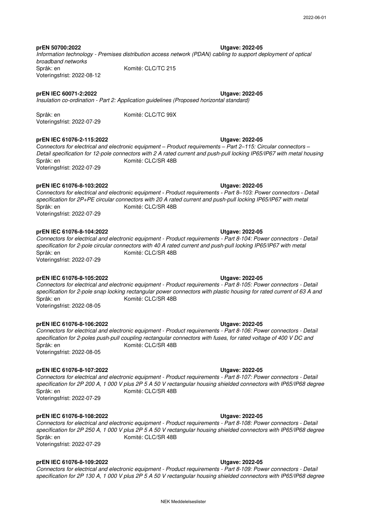**Utgave: 2022-05** Språk: en **prEN 50700:2022** *Information technology - Premises distribution access network (PDAN) cabling to support deployment of optical broadband networks* Komité: CLC/TC 215 Voteringsfrist: 2022-08-12

#### **prEN IEC 60071-2:2022**

*Insulation co-ordination - Part 2: Application guidelines (Proposed horizontal standard)*

Komité: CLC/TC 99X

Språk: en Voteringsfrist: 2022-07-29

#### **prEN IEC 61076-2-115:2022**

Språk: en Komité: CLC/SR 48B Voteringsfrist: 2022-07-29 *Connectors for electrical and electronic equipment – Product requirements – Part 2–115: Circular connectors – Detail specification for 12-pole connectors with 2 A rated current and push-pull locking IP65/IP67 with metal housing*

#### **prEN IEC 61076-8-103:2022**

Språk: en *Connectors for electrical and electronic equipment - Product requirements - Part 8–103: Power connectors - Detail specification for 2P+PE circular connectors with 20 A rated current and push-pull locking IP65/IP67 with metal*  Komité: CLC/SR 48B Voteringsfrist: 2022-07-29

#### **prEN IEC 61076-8-104:2022**

Språk: en *Connectors for electrical and electronic equipment - Product requirements - Part 8-104: Power connectors - Detail specification for 2-pole circular connectors with 40 A rated current and push-pull locking IP65/IP67 with metal*  Komité: CLC/SR 48B Voteringsfrist: 2022-07-29

#### **prEN IEC 61076-8-105:2022**

Språk: en Komité: CLC/SR 48B Voteringsfrist: 2022-08-05 *Connectors for electrical and electronic equipment - Product requirements - Part 8-105: Power connectors - Detail specification for 2-pole snap locking rectangular power connectors with plastic housing for rated current of 63 A and* 

**prEN IEC 61076-8-106:2022**

Språk: en *Connectors for electrical and electronic equipment - Product requirements - Part 8-106: Power connectors - Detail specification for 2-poles push-pull coupling rectangular connectors with fuses, for rated voltage of 400 V DC and*  Komité: CLC/SR 48B

Voteringsfrist: 2022-08-05

#### **prEN IEC 61076-8-107:2022**

Språk: en *Connectors for electrical and electronic equipment - Product requirements - Part 8-107: Power connectors - Detail specification for 2P 200 A, 1 000 V plus 2P 5 A 50 V rectangular housing shielded connectors with IP65/IP68 degree*  Komité: CLC/SR 48B Voteringsfrist: 2022-07-29

#### **prEN IEC 61076-8-108:2022**

Språk: en Komité: CLC/SR 48B Voteringsfrist: 2022-07-29 *Connectors for electrical and electronic equipment - Product requirements - Part 8-108: Power connectors - Detail specification for 2P 250 A, 1 000 V plus 2P 5 A 50 V rectangular housing shielded connectors with IP65/IP68 degree* 

#### **prEN IEC 61076-8-109:2022**

*Connectors for electrical and electronic equipment - Product requirements - Part 8-109: Power connectors - Detail specification for 2P 130 A, 1 000 V plus 2P 5 A 50 V rectangular housing shielded connectors with IP65/IP68 degree* 

#### **Utgave: 2022-05**

### **Utgave: 2022-05**

#### **Utgave: 2022-05**

**Utgave: 2022-05**

**Utgave: 2022-05**

**Utgave: 2022-05**

### **Utgave: 2022-05**

## **Utgave: 2022-05**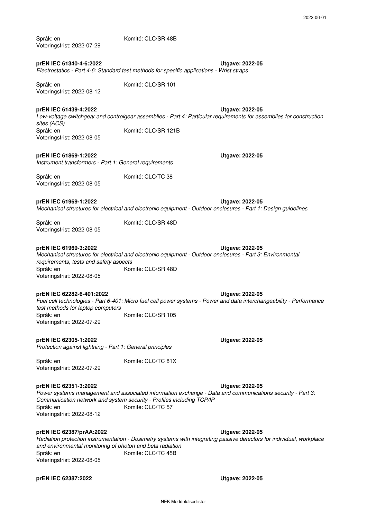| prEN IEC 61340-4-6:2022                                                                                    | Electrostatics - Part 4-6: Standard test methods for specific applications - Wrist straps                          | <b>Utgave: 2022-05</b> |
|------------------------------------------------------------------------------------------------------------|--------------------------------------------------------------------------------------------------------------------|------------------------|
| Språk: en<br>Voteringsfrist: 2022-08-12                                                                    | Komité: CLC/SR 101                                                                                                 |                        |
| prEN IEC 61439-4:2022<br>sites (ACS)                                                                       | Low-voltage switchgear and controlgear assemblies - Part 4: Particular requirements for ass                        | <b>Utgave: 2022-05</b> |
| Språk: en<br>Voteringsfrist: 2022-08-05                                                                    | Komité: CLC/SR 121B                                                                                                |                        |
| prEN IEC 61869-1:2022<br>Instrument transformers - Part 1: General requirements                            |                                                                                                                    | <b>Utgave: 2022-05</b> |
| Språk: en<br>Voteringsfrist: 2022-08-05                                                                    | Komité: CLC/TC 38                                                                                                  |                        |
| prEN IEC 61969-1:2022                                                                                      | Mechanical structures for electrical and electronic equipment - Outdoor enclosures - Part 1:                       | <b>Utgave: 2022-05</b> |
| Språk: en<br>Voteringsfrist: 2022-08-05                                                                    | Komité: CLC/SR 48D                                                                                                 |                        |
| prEN IEC 61969-3:2022<br>requirements, tests and safety aspects<br>Språk: en<br>Voteringsfrist: 2022-08-05 | Mechanical structures for electrical and electronic equipment - Outdoor enclosures - Part 3:<br>Komité: CLC/SR 48D | <b>Utgave: 2022-05</b> |
| prEN IEC 62282-6-401:2022<br>test methods for laptop computers<br>Språk: en                                | Fuel cell technologies - Part 6-401: Micro fuel cell power systems - Power and data intercha<br>Komité: CLC/SR 105 | <b>Utgave: 2022-05</b> |

**prEN IEC 62305-1:2022** *Protection against lightning - Part 1: General principles*

Språk: en Voteringsfrist: 2022-07-29

### **prEN IEC 62351-3:2022**

Språk: en Komité: CLC/TC 57 Voteringsfrist: 2022-08-12 *Power systems management and associated information exchange - Data and communications security - Part 3: Communication network and system security - Profiles including TCP/IP*

#### **prEN IEC 62387/prAA:2022**

Språk: en *Radiation protection instrumentation - Dosimetry systems with integrating passive detectors for individual, workplace and environmental monitoring of photon and beta radiation* Komité: CLC/TC 45B Voteringsfrist: 2022-08-05

#### **prEN IEC 62387:2022 Utgave: 2022-05**

Komité: CLC/SR 48B

Voteringsfrist: 2022-07-29

Språk: en

**Utgave: 2022-05** *Low-voltage switchgear and controlgear assemblies - Part 4: Particular requirements for assemblies for construction sites (ACS)*

# **prEN IEC 61869-1:2022**

#### **prEN IEC 61969-1:2022**

**Utgave: 2022-05** *Mechanical structures for electrical and electronic equipment - Outdoor enclosures - Part 1: Design guidelines*

#### **prEN IEC 61969-3:2022**

Sp<br>Vo Voteringsfrist: 2022-08-05 *Mechanical structures for electrical and electronic equipment - Outdoor enclosures - Part 3: Environmental requirements, tests and safety aspects*

#### **prEN IEC 62282-6-401:2022**

Sp *Fuel cell technologies - Part 6-401: Micro fuel cell power systems - Power and data interchangeability - Performance test methods for laptop computers* Komité: CLC/SR 105 Voteringsfrist: 2022-07-29

Komité: CLC/TC 81X

**Utgave: 2022-05**

#### **Utgave: 2022-05**

**Utgave: 2022-05**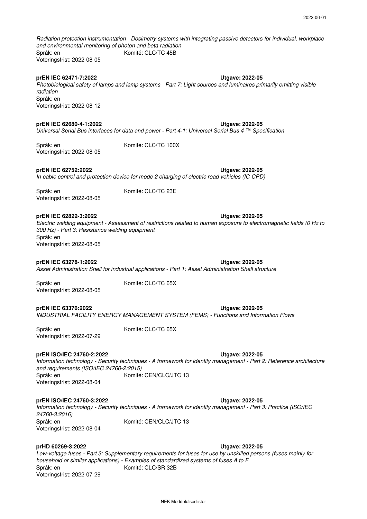Språk: en *Radiation protection instrumentation - Dosimetry systems with integrating passive detectors for individual, workplace and environmental monitoring of photon and beta radiation* Komité: CLC/TC 45B Voteringsfrist: 2022-08-05

#### **prEN IEC 62471-7:2022**

Språk: en *Photobiological safety of lamps and lamp systems - Part 7: Light sources and luminaires primarily emitting visible radiation*

#### **prEN IEC 62680-4-1:2022**

Voteringsfrist: 2022-08-12

*Universal Serial Bus interfaces for data and power - Part 4-1: Universal Serial Bus 4 ™ Specification*

Språk: en Komité: CLC/TC 100X Voteringsfrist: 2022-08-05

**prEN IEC 62752:2022**

**Utgave: 2022-05** *In-cable control and protection device for mode 2 charging of electric road vehicles (IC-CPD)*

Språk: en Voteringsfrist: 2022-08-05 Komité: CLC/TC 23E

#### **prEN IEC 62822-3:2022**

Språk: en *Electric welding equipment - Assessment of restrictions related to human exposure to electromagnetic fields (0 Hz to 300 Hz) - Part 3: Resistance welding equipment* Voteringsfrist: 2022-08-05

**Utgave: 2022-05 prEN IEC 63278-1:2022** *Asset Administration Shell for industrial applications - Part 1: Asset Administration Shell structure*

Språk: en Voteringsfrist: 2022-08-05 Komité: CLC/TC 65X

Komité: CLC/TC 65X

#### **prEN IEC 63376:2022**

*INDUSTRIAL FACILITY ENERGY MANAGEMENT SYSTEM (FEMS) - Functions and Information Flows*

Språk: en Voteringsfrist: 2022-07-29

#### **prEN ISO/IEC 24760-2:2022**

Språk: en *Information technology - Security techniques - A framework for identity management - Part 2: Reference architecture and requirements (ISO/IEC 24760-2:2015)* Komité: CEN/CLC/JTC 13

**prEN ISO/IEC 24760-3:2022**

Voteringsfrist: 2022-08-04

Språk: en *Information technology - Security techniques - A framework for identity management - Part 3: Practice (ISO/IEC 24760-3:2016)* Komité: CEN/CLC/JTC 13 Voteringsfrist: 2022-08-04

#### **prHD 60269-3:2022**

**Utgave: 2022-05** Språk: en Komité: CLC/SR 32B Voteringsfrist: 2022-07-29 *Low-voltage fuses - Part 3: Supplementary requirements for fuses for use by unskilled persons (fuses mainly for household or similar applications) - Examples of standardized systems of fuses A to F*

NEK Meddelelseslister

### **Utgave: 2022-05**

**Utgave: 2022-05**

**Utgave: 2022-05**

**Utgave: 2022-05**

**Utgave: 2022-05**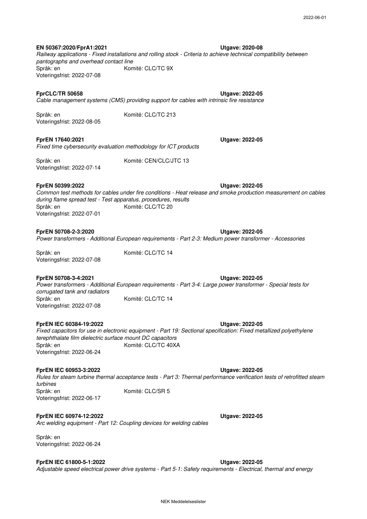**EN 50367:2020/FprA1:2021**

Språk: en *Railway applications - Fixed installations and rolling stock - Criteria to achieve technical compatibility between pantographs and overhead contact line* Komité: CLC/TC 9X Voteringsfrist: 2022-07-08

#### **FprCLC/TR 50658**

*Cable management systems (CMS) providing support for cables with intrinsic fire resistance*

Komité: CLC/TC 213

Komité: CEN/CLC/JTC 13

Språk: en Voteringsfrist: 2022-08-05

**FprEN 17640:2021** *Fixed time cybersecurity evaluation methodology for ICT products*

Språk: en Voteringsfrist: 2022-07-14

**FprEN 50399:2022**

Språk: en *Common test methods for cables under fire conditions - Heat release and smoke production measurement on cables during flame spread test - Test apparatus, procedures, results* Komité: CLC/TC 20 Voteringsfrist: 2022-07-01

#### **FprEN 50708-2-3:2020**

*Power transformers - Additional European requirements - Part 2-3: Medium power transformer - Accessories*

Komité: CLC/TC 14

Språk: en Voteringsfrist: 2022-07-08

#### **FprEN 50708-3-4:2021**

Språk: en Komité: CLC/TC 14 Voteringsfrist: 2022-07-08 *Power transformers - Additional European requirements - Part 3-4: Large power transformer - Special tests for corrugated tank and radiators*

#### **FprEN IEC 60384-19:2022**

Språk: en *Fixed capacitors for use in electronic equipment - Part 19: Sectional specification: Fixed metallized polyethylene terephthalate film dielectric surface mount DC capacitors* Komité: CLC/TC 40XA Voteringsfrist: 2022-06-24

#### **FprEN IEC 60953-3:2022**

**Utgave: 2022-05** Språk: en *Rules for steam turbine thermal acceptance tests - Part 3: Thermal performance verification tests of retrofitted steam turbines* Komité: CLC/SR 5 Voteringsfrist: 2022-06-17

#### **FprEN IEC 60974-12:2022**

*Arc welding equipment - Part 12: Coupling devices for welding cables*

Språk: en Voteringsfrist: 2022-06-24

### **FprEN IEC 61800-5-1:2022**

**Utgave: 2022-05** *Adjustable speed electrical power drive systems - Part 5-1: Safety requirements - Electrical, thermal and energy*

**Utgave: 2022-05**

**Utgave: 2022-05**

**Utgave: 2022-05**

**Utgave: 2022-05**

**Utgave: 2022-05**

**Utgave: 2022-05**

**Utgave: 2020-08**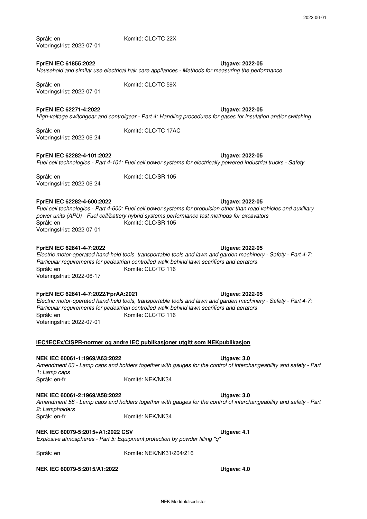Språk: en Voteringsfrist: 2022-07-01

**FprEN IEC 61855:2022**

*Household and similar use electrical hair care appliances - Methods for measuring the performance*

Komité: CLC/TC 59X

Komité: CLC/TC 22X

Komité: CLC/TC 17AC

Språk: en Voteringsfrist: 2022-07-01

**FprEN IEC 62271-4:2022**

*High-voltage switchgear and controlgear - Part 4: Handling procedures for gases for insulation and/or switching*

Språk: en Voteringsfrist: 2022-06-24

### **FprEN IEC 62282-4-101:2022**

*Fuel cell technologies - Part 4-101: Fuel cell power systems for electrically powered industrial trucks - Safety*

Komité: CLC/SR 105

Språk: en Voteringsfrist: 2022-06-24

#### **FprEN IEC 62282-4-600:2022**

Språk: en *Fuel cell technologies - Part 4-600: Fuel cell power systems for propulsion other than road vehicles and auxiliary power units (APU) - Fuel cell/battery hybrid systems performance test methods for excavators* Komité: CLC/SR 105 Voteringsfrist: 2022-07-01

#### **FprEN IEC 62841-4-7:2022**

Språk: en Voteringsfrist: 2022-06-17 *Electric motor-operated hand-held tools, transportable tools and lawn and garden machinery - Safety - Part 4-7: Particular requirements for pedestrian controlled walk-behind lawn scarifiers and aerators* Komité: CLC/TC 116

#### **FprEN IEC 62841-4-7:2022/FprAA:2021**

Språk: en *Electric motor-operated hand-held tools, transportable tools and lawn and garden machinery - Safety - Part 4-7: Particular requirements for pedestrian controlled walk-behind lawn scarifiers and aerators* Komité: CLC/TC 116 Voteringsfrist: 2022-07-01

#### **IEC/IECEx/CISPR-normer og andre IEC publikasjoner utgitt som NEKpublikasjon**

#### **NEK IEC 60061-1:1969/A63:2022**

Språk: en-fr *Amendment 63 - Lamp caps and holders together with gauges for the control of interchangeability and safety - Part 1: Lamp caps* Komité: NEK/NK34

#### **NEK IEC 60061-2:1969/A58:2022**

Språk: en-fr *Amendment 58 - Lamp caps and holders together with gauges for the control of interchangeability and safety - Part 2: Lampholders* Komité: NEK/NK34

Komité: NEK/NK31/204/216

*Explosive atmospheres - Part 5: Equipment protection by powder filling "q"* **NEK IEC 60079-5:2015+A1:2022 CSV**

Språk: en

**NEK IEC 60079-5:2015/A1:2022**

# **Utgave: 2022-05**

**Utgave: 2022-05**

**Utgave: 2022-05**

**Utgave: 2022-05**

#### **Utgave: 2022-05**

**Utgave: 2022-05**

**Utgave: 3.0**

**Utgave: 3.0**

**Utgave: 4.1**

**Utgave: 4.0**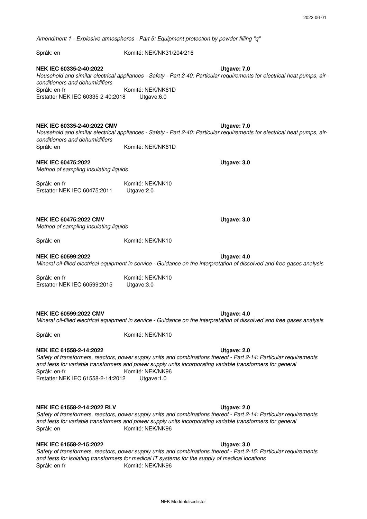*Amendment 1 - Explosive atmospheres - Part 5: Equipment protection by powder filling "q"*

Språk: en Komité: NEK/NK31/204/216

**Utgave: 7.0** Språk: en-fr *Household and similar electrical appliances - Safety - Part 2-40: Particular requirements for electrical heat pumps, airconditioners and dehumidifiers* Komité: NEK/NK61D Erstatter NEK IEC 60335-2-40:2018 Utgave:6.0 **NEK IEC 60335-2-40:2022**

**NEK IEC 60335-2-40:2022 CMV**

Språk: en *Household and similar electrical appliances - Safety - Part 2-40: Particular requirements for electrical heat pumps, airconditioners and dehumidifiers* Komité: NEK/NK61D

#### **NEK IEC 60475:2022**

*Method of sampling insulating liquids*

Språk: en-fr Komité: NEK/NK10 Erstatter NEK IEC 60475:2011 Utgave:2.0

**NEK IEC 60475:2022 CMV**

*Method of sampling insulating liquids*

Språk: en Komité: NEK/NK10

**NEK IEC 60599:2022**

**Utgave: 4.0** *Mineral oil-filled electrical equipment in service - Guidance on the interpretation of dissolved and free gases analysis*

Språk: en-fr Komité: NEK/NK10 Erstatter NEK IEC 60599:2015 Utgave:3.0

#### **NEK IEC 60599:2022 CMV**

**Utgave: 4.0** *Mineral oil-filled electrical equipment in service - Guidance on the interpretation of dissolved and free gases analysis*

Språk: en Komité: NEK/NK10

#### **NEK IEC 61558-2-14:2022**

Språk: en-fr *Safety of transformers, reactors, power supply units and combinations thereof - Part 2-14: Particular requirements and tests for variable transformers and power supply units incorporating variable transformers for general*  Komité: NEK/NK96 Erstatter NEK IEC 61558-2-14:2012 Utgave:1.0

#### **NEK IEC 61558-2-14:2022 RLV**

Språk: en *Safety of transformers, reactors, power supply units and combinations thereof - Part 2-14: Particular requirements and tests for variable transformers and power supply units incorporating variable transformers for general*  Komité: NEK/NK96

#### **NEK IEC 61558-2-15:2022**

Språk: en-fr *Safety of transformers, reactors, power supply units and combinations thereof - Part 2-15: Particular requirements and tests for isolating transformers for medical IT systems for the supply of medical locations* Komité: NEK/NK96

**Utgave: 3.0**

# **Utgave: 2.0**

#### **Utgave: 3.0**

**Utgave: 2.0**

**Utgave: 7.0**

**Utgave: 3.0**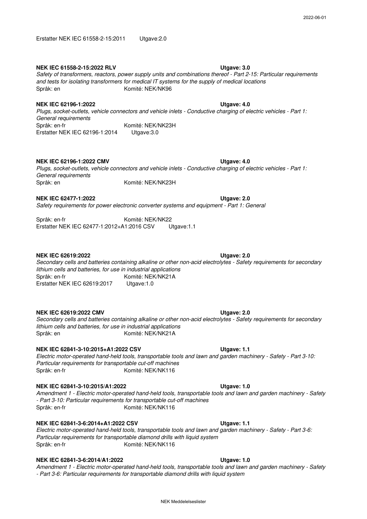#### **NEK IEC 61558-2-15:2022 RLV**

#### Språk: en *Safety of transformers, reactors, power supply units and combinations thereof - Part 2-15: Particular requirements and tests for isolating transformers for medical IT systems for the supply of medical locations* Komité: NEK/NK96

### **NEK IEC 62196-1:2022**

Språk: en-fr Komité: NEK/NK23H Erstatter NEK IEC 62196-1:2014 Utgave:3.0 *Plugs, socket-outlets, vehicle connectors and vehicle inlets - Conductive charging of electric vehicles - Part 1: General requirements*

### **NEK IEC 62196-1:2022 CMV**

Språk: en *Plugs, socket-outlets, vehicle connectors and vehicle inlets - Conductive charging of electric vehicles - Part 1: General requirements* Komité: NEK/NK23H

#### **NEK IEC 62477-1:2022**

*Safety requirements for power electronic converter systems and equipment - Part 1: General*

Språk: en-fr Komité: NEK/NK22 Erstatter NEK IEC 62477-1:2012+A1:2016 CSV Utgave:1.1

#### **NEK IEC 62619:2022**

Språk: en-fr Erstatter NEK IEC 62619:2017 Utgave:1.0 *Secondary cells and batteries containing alkaline or other non-acid electrolytes - Safety requirements for secondary lithium cells and batteries, for use in industrial applications* Komité: NEK/NK21A

#### **NEK IEC 62619:2022 CMV**

Språk: en *Secondary cells and batteries containing alkaline or other non-acid electrolytes - Safety requirements for secondary lithium cells and batteries, for use in industrial applications* Komité: NEK/NK21A

#### **NEK IEC 62841-3-10:2015+A1:2022 CSV**

Språk: en-fr Komité: NEK/NK116 *Electric motor-operated hand-held tools, transportable tools and lawn and garden machinery - Safety - Part 3-10: Particular requirements for transportable cut-off machines*

#### **NEK IEC 62841-3-10:2015/A1:2022**

Språk: en-fr *Amendment 1 - Electric motor-operated hand-held tools, transportable tools and lawn and garden machinery - Safety - Part 3-10: Particular requirements for transportable cut-off machines* Komité: NEK/NK116

#### **NEK IEC 62841-3-6:2014+A1:2022 CSV**

Språk: en-fr Komité: NEK/NK116 *Electric motor-operated hand-held tools, transportable tools and lawn and garden machinery - Safety - Part 3-6: Particular requirements for transportable diamond drills with liquid system*

#### **NEK IEC 62841-3-6:2014/A1:2022**

**Utgave: 1.0** *Amendment 1 - Electric motor-operated hand-held tools, transportable tools and lawn and garden machinery - Safety - Part 3-6: Particular requirements for transportable diamond drills with liquid system*

#### **Utgave: 2.0**

**Utgave: 2.0**

**Utgave: 1.1**

**Utgave: 1.0**

#### **Utgave: 1.1**

#### 2022-06-01

# **Utgave: 4.0**

**Utgave: 4.0**

**Utgave: 2.0**

**Utgave: 3.0**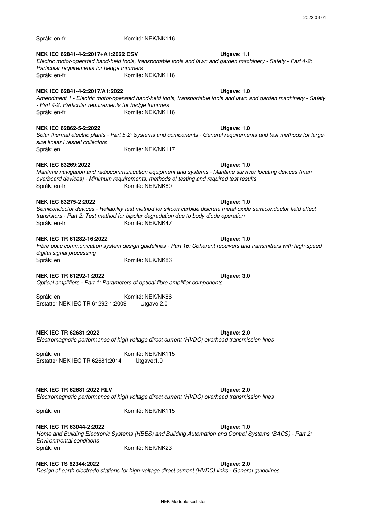# **NEK IEC 62841-4-2:2017+A1:2022 CSV**

Språk: en-fr

# *Electric motor-operated hand-held tools, transportable tools and lawn and garden machinery - Safety - Part 4-2:*

#### Språk: en-fr Komité: NEK/NK116 *Particular requirements for hedge trimmers*

### **NEK IEC 62841-4-2:2017/A1:2022**

Språk: en-fr *Amendment 1 - Electric motor-operated hand-held tools, transportable tools and lawn and garden machinery - Safety - Part 4-2: Particular requirements for hedge trimmers* Komité: NEK/NK116

Komité: NEK/NK116

#### **NEK IEC 62862-5-2:2022**

Språk: en Komité: NEK/NK117 *Solar thermal electric plants - Part 5-2: Systems and components - General requirements and test methods for largesize linear Fresnel collectors*

#### **NEK IEC 63269:2022**

Språk: en-fr *Maritime navigation and radiocommunication equipment and systems - Maritime survivor locating devices (man overboard devices) - Minimum requirements, methods of testing and required test results* Komité: NEK/NK80

#### **NEK IEC 63275-2:2022**

Språk: en-fr Komité: NEK/NK47 *Semiconductor devices - Reliability test method for silicon carbide discrete metal-oxide semiconductor field effect transistors - Part 2: Test method for bipolar degradation due to body diode operation*

#### **NEK IEC TR 61282-16:2022**

Språk: en *Fibre optic communication system design guidelines - Part 16: Coherent receivers and transmitters with high-speed digital signal processing* Komité: NEK/NK86

#### **NEK IEC TR 61292-1:2022**

**Utgave: 3.0** *Optical amplifiers - Part 1: Parameters of optical fibre amplifier components*

Språk: en Komité: NEK/NK86 Erstatter NEK IEC TR 61292-1:2009 Utgave:2.0

### **NEK IEC TR 62681:2022**

#### *Electromagnetic performance of high voltage direct current (HVDC) overhead transmission lines*

Språk: en Komité: NEK/NK115 Erstatter NEK IEC TR 62681:2014 Utgave:1.0

#### **NEK IEC TR 62681:2022 RLV**

*Electromagnetic performance of high voltage direct current (HVDC) overhead transmission lines*

Språk: en Komité: NEK/NK115

### **NEK IEC TR 63044-2:2022**

**Utgave: 1.0** Språk: en *Home and Building Electronic Systems (HBES) and Building Automation and Control Systems (BACS) - Part 2: Environmental conditions* Komité: NEK/NK23

#### **NEK IEC TS 62344:2022 Utgave: 2.0**

*Design of earth electrode stations for high-voltage direct current (HVDC) links - General guidelines*

# **Utgave: 1.1**

# **Utgave: 1.0**

**Utgave: 1.0**

**Utgave: 1.0**

**Utgave: 1.0**

**Utgave: 1.0**

**Utgave: 2.0**

**Utgave: 2.0**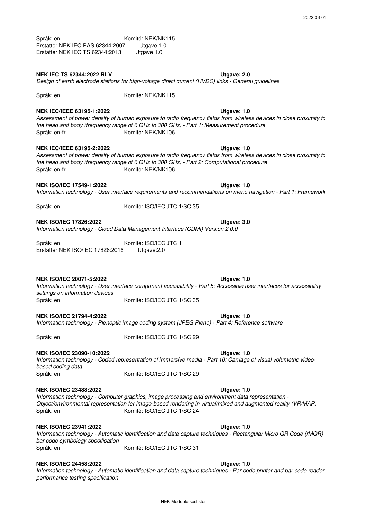2022-06-01

Språk: en Komité: NEK/NK115<br>7 Utgave:1.0 Erstatter NEK IEC PAS 62344:2007 Erstatter NEK IEC TS 62344:2013 Utgave:1.0

#### **NEK IEC TS 62344:2022 RLV**

# *Design of earth electrode stations for high-voltage direct current (HVDC) links - General guidelines*

Komité: NEK/NK115

Språk: en

#### **Utgave: 1.0** Språk: en-fr **NEK IEC/IEEE 63195-1:2022** *Assessment of power density of human exposure to radio frequency fields from wireless devices in close proximity to the head and body (frequency range of 6 GHz to 300 GHz) - Part 1: Measurement procedure* Komité: NEK/NK106

### **NEK IEC/IEEE 63195-2:2022**

Språk: en-fr Komité: NEK/NK106 *Assessment of power density of human exposure to radio frequency fields from wireless devices in close proximity to the head and body (frequency range of 6 GHz to 300 GHz) - Part 2: Computational procedure*

### **NEK ISO/IEC 17549-1:2022**

**Utgave: 1.0** *Information technology - User interface requirements and recommendations on menu navigation - Part 1: Framework*

Språk: en

Komité: ISO/IEC JTC 1/SC 35

#### **NEK ISO/IEC 17826:2022**

*Information technology - Cloud Data Management Interface (CDMI) Version 2.0.0*

Språk: en Komité: ISO/IEC JTC 1 Erstatter NEK ISO/IEC 17826:2016 Utgave:2.0

### **NEK ISO/IEC 20071-5:2022**

**Utgave: 1.0** Språk: en *Information technology - User interface component accessibility - Part 5: Accessible user interfaces for accessibility settings on information devices* Komité: ISO/IEC JTC 1/SC 35

### **NEK ISO/IEC 21794-4:2022**

*Information technology - Plenoptic image coding system (JPEG Pleno) - Part 4: Reference software*

Språk: en Komité: ISO/IEC JTC 1/SC 29

### **NEK ISO/IEC 23090-10:2022**

Språk: en *Information technology - Coded representation of immersive media - Part 10: Carriage of visual volumetric videobased coding data* Komité: ISO/IEC JTC 1/SC 29

#### **NEK ISO/IEC 23488:2022**

Språk: en *Information technology - Computer graphics, image processing and environment data representation - Object/environmental representation for image-based rendering in virtual/mixed and augmented reality (VR/MAR)* Komité: ISO/IEC JTC 1/SC 24

### **NEK ISO/IEC 23941:2022**

Språk: en *Information technology - Automatic identification and data capture techniques - Rectangular Micro QR Code (rMQR) bar code symbology specification* Komité: ISO/IEC JTC 1/SC 31

#### **NEK ISO/IEC 24458:2022**

*Information technology - Automatic identification and data capture techniques - Bar code printer and bar code reader performance testing specification*

#### **Utgave: 1.0**

**Utgave: 2.0**

**Utgave: 1.0**

**Utgave: 1.0**

## **Utgave: 1.0**

**Utgave: 1.0**

# **Utgave: 1.0**

**Utgave: 3.0**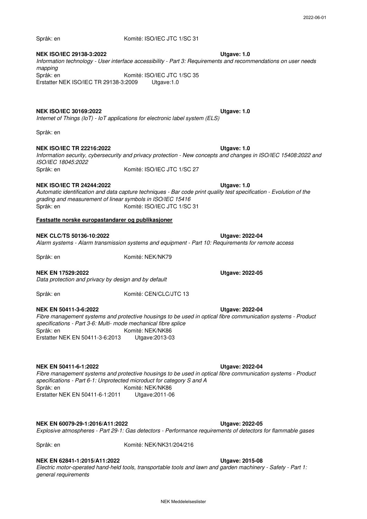Språk: en

#### **Utgave: 1.0** Språk: en **NEK ISO/IEC 29138-3:2022** *Information technology - User interface accessibility - Part 3: Requirements and recommendations on user needs mapping* Komité: ISO/IEC JTC 1/SC 35 Erstatter NEK ISO/IEC TR 29138-3:2009 Utgave:1.0

Komité: ISO/IEC JTC 1/SC 31

#### **NEK ISO/IEC 30169:2022**

**Utgave: 1.0** *Internet of Things (IoT) - IoT applications for electronic label system (ELS)*

Språk: en

#### **NEK ISO/IEC TR 22216:2022**

Språk: en *Information security, cybersecurity and privacy protection - New concepts and changes in ISO/IEC 15408:2022 and ISO/IEC 18045:2022* Komité: ISO/IEC JTC 1/SC 27

#### **NEK ISO/IEC TR 24244:2022**

Språk: en *Automatic identification and data capture techniques - Bar code print quality test specification - Evolution of the grading and measurement of linear symbols in ISO/IEC 15416* Komité: ISO/IEC JTC 1/SC 31

#### **Fastsatte norske europastandarer og publikasjoner**

#### **NEK CLC/TS 50136-10:2022**

*Alarm systems - Alarm transmission systems and equipment - Part 10: Requirements for remote access*

Språk: en

Komité: NEK/NK79

Komité: CEN/CLC/JTC 13

#### **NEK EN 17529:2022**

*Data protection and privacy by design and by default*

Språk: en

#### **NEK EN 50411-3-6:2022**

**Utgave: 2022-04** Språk: en *Fibre management systems and protective housings to be used in optical fibre communication systems - Product specifications - Part 3-6: Multi- mode mechanical fibre splice* Komité: NEK/NK86 Erstatter NEK EN 50411-3-6:2013 Utgave:2013-03

#### **NEK EN 50411-6-1:2022**

Språk: en *Fibre management systems and protective housings to be used in optical fibre communication systems - Product specifications - Part 6-1: Unprotected microduct for category S and A* Komité: NEK/NK86<br>Utgave:2011-06 Erstatter NEK EN 50411-6-1:2011

### **NEK EN 60079-29-1:2016/A11:2022**

*Explosive atmospheres - Part 29-1: Gas detectors - Performance requirements of detectors for flammable gases*

## **NEK EN 62841-1:2015/A11:2022**

Språk: en

**Utgave: 2015-08** *Electric motor-operated hand-held tools, transportable tools and lawn and garden machinery - Safety - Part 1: general requirements*

Komité: NEK/NK31/204/216

**Utgave: 1.0**

**Utgave: 1.0**

**Utgave: 2022-05**

**Utgave: 2022-04**

**Utgave: 2022-04**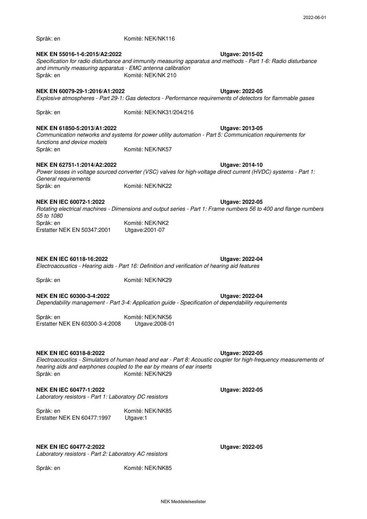| NEK EN 55016-1-6:2015/A2:2022<br>and immunity measuring apparatus - EMC antenna calibration<br>Språk: en | Komité: NEK/NK 210                                                                                           | Utgave: 2015-02<br>Specification for radio disturbance and immunity measuring apparatus and methods - Part 1-6: Radio disturbance          |
|----------------------------------------------------------------------------------------------------------|--------------------------------------------------------------------------------------------------------------|--------------------------------------------------------------------------------------------------------------------------------------------|
|                                                                                                          |                                                                                                              |                                                                                                                                            |
| NEK EN 60079-29-1:2016/A1:2022                                                                           | Explosive atmospheres - Part 29-1: Gas detectors - Performance requirements of detectors for flammable gases | <b>Utgave: 2022-05</b>                                                                                                                     |
| Språk: en                                                                                                | Komité: NEK/NK31/204/216                                                                                     |                                                                                                                                            |
| NEK EN 61850-5:2013/A1:2022<br>functions and device models                                               | Communication networks and systems for power utility automation - Part 5: Communication requirements for     | Utgave: 2013-05                                                                                                                            |
| Språk: en                                                                                                | Komité: NEK/NK57                                                                                             |                                                                                                                                            |
| NEK EN 62751-1:2014/A2:2022<br>General requirements                                                      |                                                                                                              | <b>Utgave: 2014-10</b><br>Power losses in voltage sourced converter (VSC) valves for high-voltage direct current (HVDC) systems - Part 1:  |
| Språk: en                                                                                                | Komité: NEK/NK22                                                                                             |                                                                                                                                            |
| <b>NEK EN IEC 60072-1:2022</b><br>55 to 1080                                                             |                                                                                                              | <b>Utgave: 2022-05</b><br>Rotating electrical machines - Dimensions and output series - Part 1: Frame numbers 56 to 400 and flange numbers |
| Språk: en<br>Erstatter NEK EN 50347:2001                                                                 | Komité: NEK/NK2<br>Utgave: 2001-07                                                                           |                                                                                                                                            |
| <b>NEK EN IEC 60118-16:2022</b>                                                                          | Electroacoustics - Hearing aids - Part 16: Definition and verification of hearing aid features               | Utgave: 2022-04                                                                                                                            |
| Språk: en                                                                                                | Komité: NEK/NK29                                                                                             |                                                                                                                                            |
| <b>NEK EN IEC 60300-3-4:2022</b>                                                                         | Dependability management - Part 3-4: Application guide - Specification of dependability requirements         | <b>Utgave: 2022-04</b>                                                                                                                     |
| Språk: en<br>Erstatter NEK EN 60300-3-4:2008                                                             | Komité: NEK/NK56<br>Utgave: 2008-01                                                                          |                                                                                                                                            |
| NEK EN IEC 60318-8:2022<br>Språk: en                                                                     | hearing aids and earphones coupled to the ear by means of ear inserts<br>Komité: NEK/NK29                    | Utgave: 2022-05<br>Electroacoustics - Simulators of human head and ear - Part 8: Acoustic coupler for high-frequency measurements of       |
| <b>NEK EN IEC 60477-1:2022</b><br>Laboratory resistors - Part 1: Laboratory DC resistors                 |                                                                                                              | <b>Utgave: 2022-05</b>                                                                                                                     |
| Språk: en<br>Erstatter NEK EN 60477:1997                                                                 | Komité: NEK/NK85<br>Utgave:1                                                                                 |                                                                                                                                            |

Komité: NEK/NK116

**NEK EN IEC 60477-2:2022**

Språk: en

*Laboratory resistors - Part 2: Laboratory AC resistors*

Språk: en Komité: NEK/NK85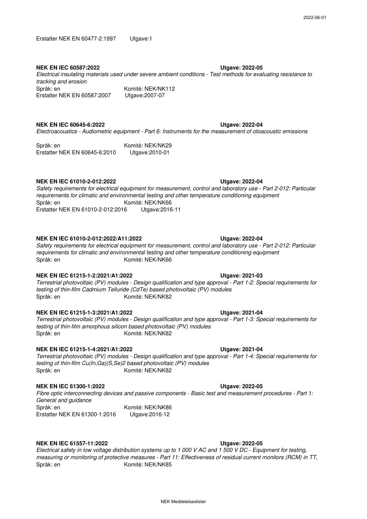#### **NEK EN IEC 60587:2022**

#### Språk: en *Electrical insulating materials used under severe ambient conditions - Test methods for evaluating resistance to tracking and erosion* Komité: NEK/NK112 Erstatter NEK EN 60587:2007 Utgave:2007-07

**NEK EN IEC 60645-6:2022**

*Electroacoustics - Audiometric equipment - Part 6: Instruments for the measurement of otoacoustic emissions*

Språk: en Komité: NEK/NK29 Erstatter NEK EN 60645-6:2010 Utgave:2010-01

#### **NEK EN IEC 61010-2-012:2022**

Språk: en Erstatter NEK EN 61010-2-012:2016 Utgave:2016-11 *Safety requirements for electrical equipment for measurement, control and laboratory use - Part 2-012: Particular requirements for climatic and environmental testing and other temperature conditioning equipment* Komité: NEK/NK66

#### **NEK EN IEC 61010-2-012:2022/A11:2022**

Språk: en *Safety requirements for electrical equipment for measurement, control and laboratory use - Part 2-012: Particular requirements for climatic and environmental testing and other temperature conditioning equipment* Komité: NEK/NK66

#### **NEK EN IEC 61215-1-2:2021/A1:2022**

Språk: en Komité: NEK/NK82 *Terrestrial photovoltaic (PV) modules - Design qualification and type approval - Part 1-2: Special requirements for testing of thin-film Cadmium Telluride (CdTe) based photovoltaic (PV) modules*

#### **NEK EN IEC 61215-1-3:2021/A1:2022**

Språk: en *Terrestrial photovoltaic (PV) modules - Design qualification and type approval - Part 1-3: Special requirements for testing of thin-film amorphous silicon based photovoltaic (PV) modules* Komité: NEK/NK82

#### **NEK EN IEC 61215-1-4:2021/A1:2022**

Språk: en Komité: NEK/NK82 *Terrestrial photovoltaic (PV) modules - Design qualification and type approval - Part 1-4: Special requirements for testing of thin-film Cu(In,Ga)(S,Se)2 based photovoltaic (PV) modules*

#### **NEK EN IEC 61300-1:2022**

*Fibre optic interconnecting devices and passive components - Basic test and measurement procedures - Part 1: General and guidance*

Språk: en Komité: NEK/NK86 Erstatter NEK EN 61300-1:2016 Utgave:2016-12

#### **NEK EN IEC 61557-11:2022**

Språk: en *Electrical safety in low voltage distribution systems up to 1 000 V AC and 1 500 V DC - Equipment for testing, measuring or monitoring of protective measures - Part 11: Effectiveness of residual current monitors (RCM) in TT,*  Komité: NEK/NK85

NEK Meddelelseslister

#### **Utgave: 2022-04**

**Utgave: 2022-05**

**Utgave: 2022-04**

#### **Utgave: 2021-03**

**Utgave: 2022-04**

#### **Utgave: 2021-04**

# **Utgave: 2022-05**

**Utgave: 2021-04**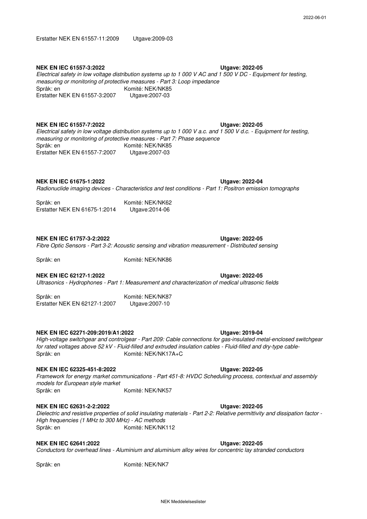#### **NEK EN IEC 61557-3:2022**

#### **Utgave: 2022-05** Språk: en Erstatter NEK EN 61557-3:2007 Utgave:2007-03 *Electrical safety in low voltage distribution systems up to 1 000 V AC and 1 500 V DC - Equipment for testing, measuring or monitoring of protective measures - Part 3: Loop impedance* Komité: NEK/NK85

### **NEK EN IEC 61557-7:2022**

Språk: en *Electrical safety in low voltage distribution systems up to 1 000 V a.c. and 1 500 V d.c. - Equipment for testing, measuring or monitoring of protective measures - Part 7: Phase sequence* Komité: NEK/NK85 Erstatter NEK EN 61557-7:2007 Utgave:2007-03

### **NEK EN IEC 61675-1:2022**

**Utgave: 2022-04** *Radionuclide imaging devices - Characteristics and test conditions - Part 1: Positron emission tomographs*

Språk: en Komité: NEK/NK62 Erstatter NEK EN 61675-1:2014 Utgave:2014-06

### **NEK EN IEC 61757-3-2:2022**

### *Fibre Optic Sensors - Part 3-2: Acoustic sensing and vibration measurement - Distributed sensing*

Språk: en

Komité: NEK/NK86

### **NEK EN IEC 62127-1:2022**

*Ultrasonics - Hydrophones - Part 1: Measurement and characterization of medical ultrasonic fields*

Språk: en Komité: NEK/NK87 Erstatter NEK EN 62127-1:2007 Utgave:2007-10

### **NEK EN IEC 62271-209:2019/A1:2022**

Språk: en Komité: NEK/NK17A+C *High-voltage switchgear and controlgear - Part 209: Cable connections for gas-insulated metal-enclosed switchgear for rated voltages above 52 kV - Fluid-filled and extruded insulation cables - Fluid-filled and dry-type cable-*

### **NEK EN IEC 62325-451-8:2022**

Språk: en *Framework for energy market communications - Part 451-8: HVDC Scheduling process, contextual and assembly models for European style market* Komité: NEK/NK57

### **NEK EN IEC 62631-2-2:2022**

Språk: en Komité: NEK/NK112 *Dielectric and resistive properties of solid insulating materials - Part 2-2: Relative permittivity and dissipation factor - High frequencies (1 MHz to 300 MHz) - AC methods*

### **NEK EN IEC 62641:2022**

**Utgave: 2022-05** *Conductors for overhead lines - Aluminium and aluminium alloy wires for concentric lay stranded conductors*

Språk: en Komité: NEK/NK7

#### NEK Meddelelseslister

#### **Utgave: 2022-05**

**Utgave: 2022-05**

**Utgave: 2022-05**

**Utgave: 2019-04**

## **Utgave: 2022-05**